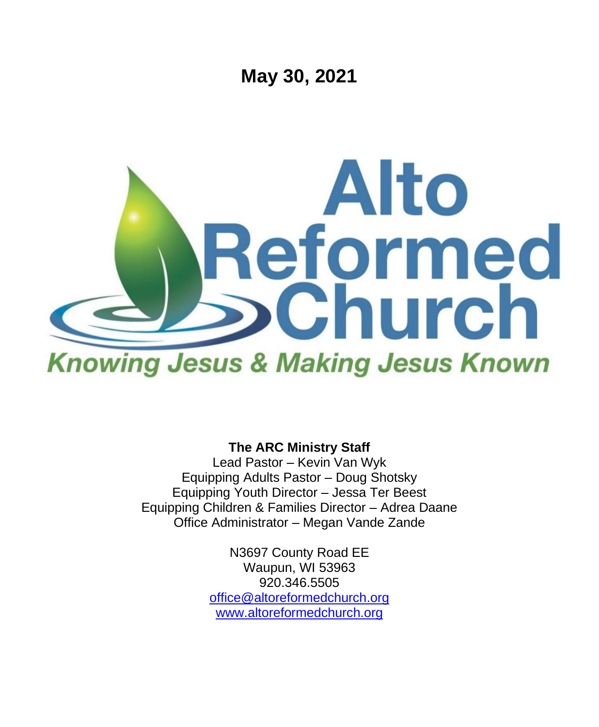

**The ARC Ministry Staff**

Lead Pastor – Kevin Van Wyk Equipping Adults Pastor – Doug Shotsky Equipping Youth Director – Jessa Ter Beest Equipping Children & Families Director – Adrea Daane Office Administrator – Megan Vande Zande

> N3697 County Road EE Waupun, WI 53963 920.346.5505 [office@altoreformedchurch.org](mailto:office@altoreformedchurch.org) [www.altoreformedchurch.org](http://www.altoreformedchurch.org/)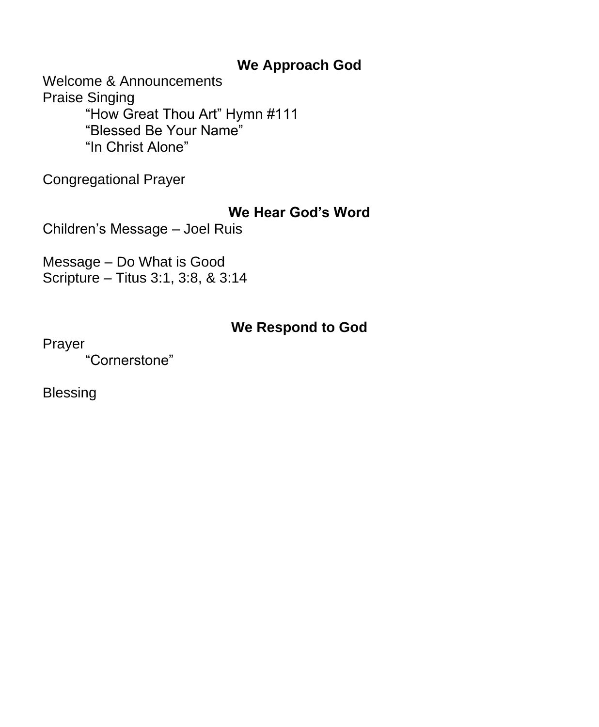## **We Approach God**

Welcome & Announcements Praise Singing "How Great Thou Art" Hymn #111 "Blessed Be Your Name" "In Christ Alone"

Congregational Prayer

## **We Hear God's Word**

Children's Message – Joel Ruis

Message – Do What is Good Scripture – Titus 3:1, 3:8, & 3:14

## **We Respond to God**

Prayer

"Cornerstone"

Blessing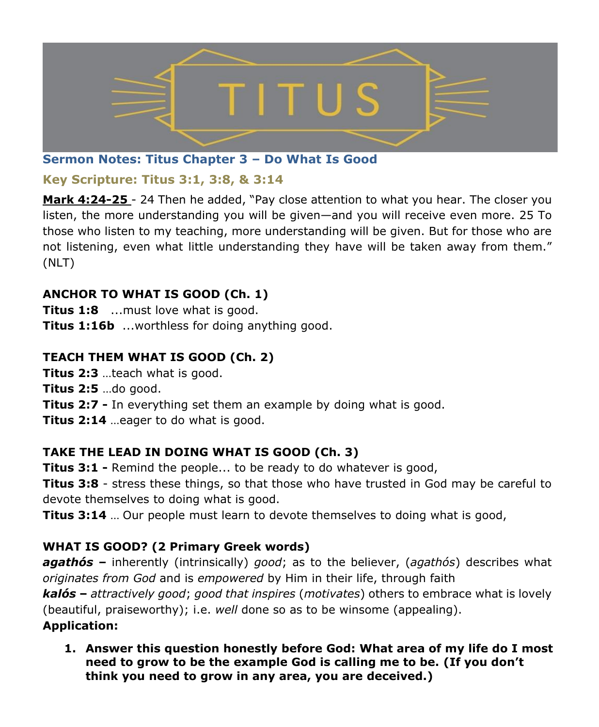

### **Sermon Notes: Titus Chapter 3 – Do What Is Good**

### **Key Scripture: Titus 3:1, 3:8, & 3:14**

**Mark 4:24-25** - 24 Then he added, "Pay close attention to what you hear. The closer you listen, the more understanding you will be given—and you will receive even more. 25 To those who listen to my teaching, more understanding will be given. But for those who are not listening, even what little understanding they have will be taken away from them." (NLT)

## **ANCHOR TO WHAT IS GOOD (Ch. 1)**

**Titus 1:8** ...must love what is good. **Titus 1:16b** ...worthless for doing anything good.

### **TEACH THEM WHAT IS GOOD (Ch. 2)**

**Titus 2:3** …teach what is good. **Titus 2:5** …do good. **Titus 2:7 -** In everything set them an example by doing what is good.

**Titus 2:14** …eager to do what is good.

## **TAKE THE LEAD IN DOING WHAT IS GOOD (Ch. 3)**

**Titus 3:1 -** Remind the people... to be ready to do whatever is good,

**Titus 3:8** - stress these things, so that those who have trusted in God may be careful to devote themselves to doing what is good.

**Titus 3:14** … Our people must learn to devote themselves to doing what is good,

## **WHAT IS GOOD? (2 Primary Greek words)**

*agathós* **–** inherently (intrinsically) *good*; as to the believer, (*agathós*) describes what *originates from God* and is *empowered* by Him in their life, through faith *kalós* **–** *attractively good*; *good that inspires* (*motivates*) others to embrace what is lovely (beautiful, praiseworthy); i.e. *well* done so as to be winsome (appealing). **Application:**

**1. Answer this question honestly before God: What area of my life do I most need to grow to be the example God is calling me to be. (If you don't think you need to grow in any area, you are deceived.)**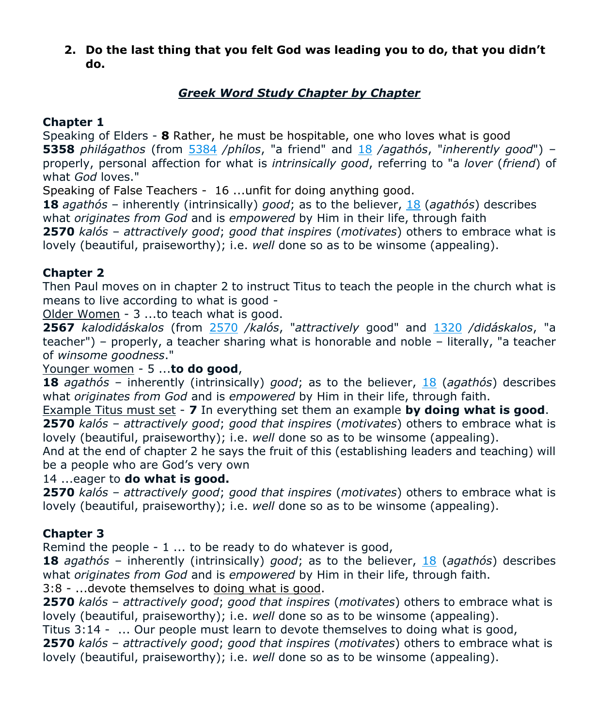**2. Do the last thing that you felt God was leading you to do, that you didn't do.** 

### *Greek Word Study Chapter by Chapter*

#### **Chapter 1**

Speaking of Elders - **8** Rather, he must be hospitable, one who loves what is good **5358** *philágathos* (from [5384](https://biblehub.com/greek/5384.htm) */phílos*, "a friend" and [18](https://biblehub.com/greek/18.htm) */agathós*, "*inherently good*") – properly, personal affection for what is *intrinsically good*, referring to "a *lover* (*friend*) of what *God* loves."

Speaking of False Teachers - 16 ...unfit for doing anything good.

**18** *agathós* – inherently (intrinsically) *good*; as to the believer, [18](https://biblehub.com/greek/18.htm) (*agathós*) describes what *originates from God* and is *empowered* by Him in their life, through faith

**2570** *kalós* – *attractively good*; *good that inspires* (*motivates*) others to embrace what is lovely (beautiful, praiseworthy); i.e. *well* done so as to be winsome (appealing).

#### **Chapter 2**

Then Paul moves on in chapter 2 to instruct Titus to teach the people in the church what is means to live according to what is good -

Older Women - 3 ...to teach what is good.

**2567** *kalodidáskalos* (from [2570](https://biblehub.com/greek/2570.htm) */kalós*, "*attractively* good" and [1320](https://biblehub.com/greek/1320.htm) */didáskalos*, "a teacher") – properly, a teacher sharing what is honorable and noble – literally, "a teacher of *winsome goodness*."

#### Younger women - 5 ...**to do good**,

**18** *agathós* – inherently (intrinsically) *good*; as to the believer, [18](https://biblehub.com/greek/18.htm) (*agathós*) describes what *originates from God* and is *empowered* by Him in their life, through faith.

Example Titus must set - **7** In everything set them an example **by doing what is good**. **2570** *kalós* – *attractively good*; *good that inspires* (*motivates*) others to embrace what is

lovely (beautiful, praiseworthy); i.e. *well* done so as to be winsome (appealing).

And at the end of chapter 2 he says the fruit of this (establishing leaders and teaching) will be a people who are God's very own

#### 14 ...eager to **do what is good.**

**2570** *kalós* – *attractively good*; *good that inspires* (*motivates*) others to embrace what is lovely (beautiful, praiseworthy); i.e. *well* done so as to be winsome (appealing).

#### **Chapter 3**

Remind the people - 1 ... to be ready to do whatever is good,

**18** *agathós* – inherently (intrinsically) *good*; as to the believer, [18](https://biblehub.com/greek/18.htm) (*agathós*) describes what *originates from God* and is *empowered* by Him in their life, through faith.

3:8 - ...devote themselves to doing what is good.

**2570** *kalós* – *attractively good*; *good that inspires* (*motivates*) others to embrace what is lovely (beautiful, praiseworthy); i.e. *well* done so as to be winsome (appealing).

Titus 3:14 - ... Our people must learn to devote themselves to doing what is good,

**2570** *kalós* – *attractively good*; *good that inspires* (*motivates*) others to embrace what is lovely (beautiful, praiseworthy); i.e. *well* done so as to be winsome (appealing).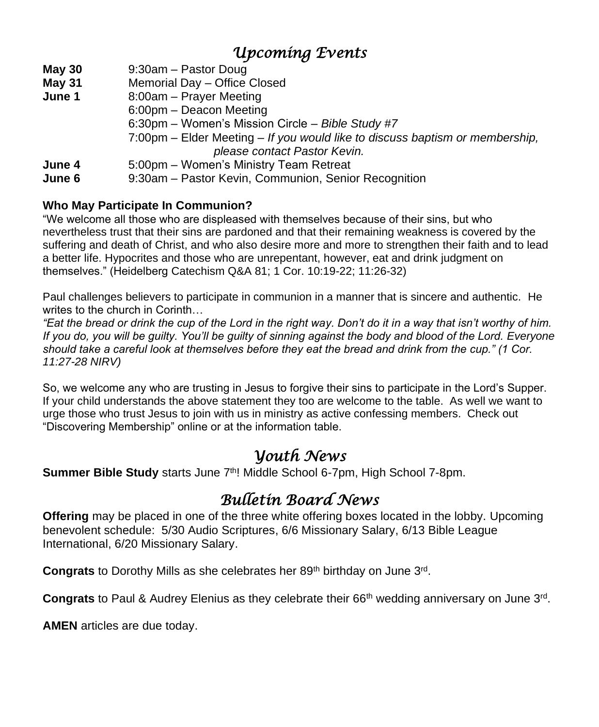# *Upcoming Events*

**May 30** 9:30am – Pastor Doug

- **May 31** Memorial Day Office Closed
- **June 1** 8:00am Prayer Meeting
	- 6:00pm Deacon Meeting
		- 6:30pm Women's Mission Circle *Bible Study #7*
		- 7:00pm Elder Meeting *If you would like to discuss baptism or membership, please contact Pastor Kevin.*
- **June 4** 5:00pm Women's Ministry Team Retreat
- **June 6** 9:30am Pastor Kevin, Communion, Senior Recognition

#### **Who May Participate In Communion?**

"We welcome all those who are displeased with themselves because of their sins, but who nevertheless trust that their sins are pardoned and that their remaining weakness is covered by the suffering and death of Christ, and who also desire more and more to strengthen their faith and to lead a better life. Hypocrites and those who are unrepentant, however, eat and drink judgment on themselves." (Heidelberg Catechism Q&A 81; 1 Cor. 10:19-22; 11:26-32)

Paul challenges believers to participate in communion in a manner that is sincere and authentic. He writes to the church in Corinth…

*"Eat the bread or drink the cup of the Lord in the right way. Don't do it in a way that isn't worthy of him. If you do, you will be guilty. You'll be guilty of sinning against the body and blood of the Lord. Everyone should take a careful look at themselves before they eat the bread and drink from the cup." (1 Cor. 11:27-28 NIRV)*

So, we welcome any who are trusting in Jesus to forgive their sins to participate in the Lord's Supper. If your child understands the above statement they too are welcome to the table. As well we want to urge those who trust Jesus to join with us in ministry as active confessing members. Check out "Discovering Membership" online or at the information table.

## *Youth News*

Summer Bible Study starts June 7<sup>th</sup>! Middle School 6-7pm, High School 7-8pm.

# *Bulletin Board News*

**Offering** may be placed in one of the three white offering boxes located in the lobby. Upcoming benevolent schedule: 5/30 Audio Scriptures, 6/6 Missionary Salary, 6/13 Bible League International, 6/20 Missionary Salary.

Congrats to Dorothy Mills as she celebrates her 89<sup>th</sup> birthday on June 3<sup>rd</sup>.

Congrats to Paul & Audrey Elenius as they celebrate their 66<sup>th</sup> wedding anniversary on June 3<sup>rd</sup>.

**AMEN** articles are due today.